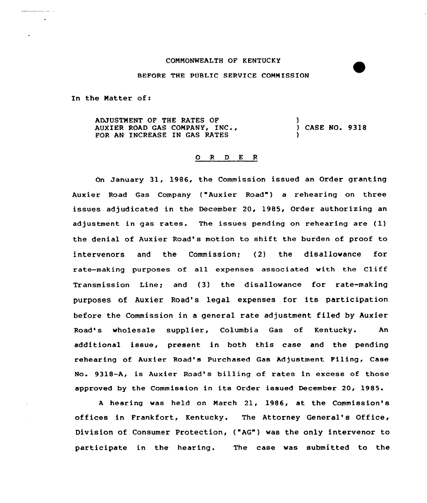#### COMMONWEALTH OF KENTUCKY

#### BEFORE THE PUBLIC SERVICE CONNISSION

In the Natter of:

ADJUSTMENT OF THE RATES OF AUXIER ROAD GAS COMPANY, INC., FOR AN INCREASE IN GAS RATES ) ) CASE NO. 9318 )

#### ORDER

On January 31, 1986, the Commission issued an Order granting Auxier Road Gas Company {"Auxier Road" ) a rehearing on three issues adjudicated in the December 20, 1985, Order authorizing an adjustment in gas rates. The issues pending on rehearing are (1) the denial of Auxier Road's motion to shift the burden of proof to intervenors and the Commission; (2) the disallowance for rate-making purposes of all expenses associated with the Cliff Transmission Line; and (3) the disallowance for rate-making purposes of Auxier Road's legal expenses for its participation before the Commission in a general rate adjustment filed by Auxier Road's wholesale supplier, Columbia Gas of Kentucky. An additional issue, present in both this case and the pending rehearing of Auxier Road's Purchased Gas Adjustment Filing, Case No. 9318-A, is Auxier Road's billing of rates in excess of those approved by the Commission in its Order issued December 20, 1985.

<sup>A</sup> hearing was held on Narch 21, 1986, at the Commission's offices in Frankfort, Kentucky. The Attorney General's Office, Division of Consumer Protection, ("AG") was the only intervenor to participate in the hearing. The case was submitted to the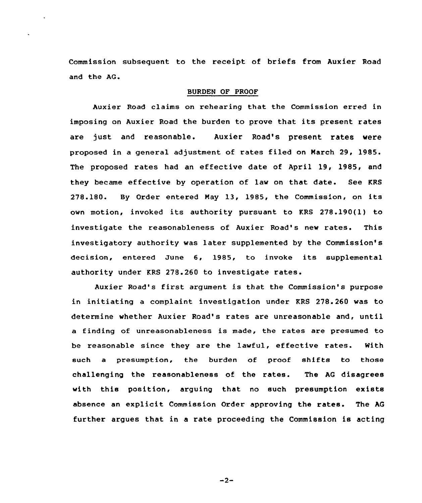Commission subsequent to the receipt of briefs from Auxier Road and the AG.

### BURDEN OF PROOF

Auxier Road claims on rehearing that the Commission erred in imposing on Auxier Road the burden to prove that its present rates are just and reasonable. Auxier Road's present rates were proposed in a general adjustment of rates filed on March 29, 1985. The proposed rates had an effective date of April 19, 1985, and they became effective by operation of law on that date. See KRS 278.180. By Order entered Nay 13, 1985, the Commiss'on, on its own motion, invoked its authority pursuant to KRS 278.190(l) to investigate the reasonableness of Auxier Road's new rates. This investigatory authority was later supplemented by the Commission's decision, entered June 6, 1985, to invoke its supplemental authority under KRS 278.260 to investigate rates.

Auxier Road's first argument is that the Commission's purpose in initiating a complaint investigation under KRS 278.260 was to determine whether Auxier Road's rates are unreasonable and, until a finding of unreasonableness is made, the rates are presumed to be reasonable since they are the lawful, effective rates. With such a presumption, the burden of proof shifts to those challenging the reasonableness of the rates. The AG disagrees with this position, arguing that no such presumption exists absence an explicit Commission Order approving the rates. The AG further argues that in a rate proceeding the Commission is acting

 $-2-$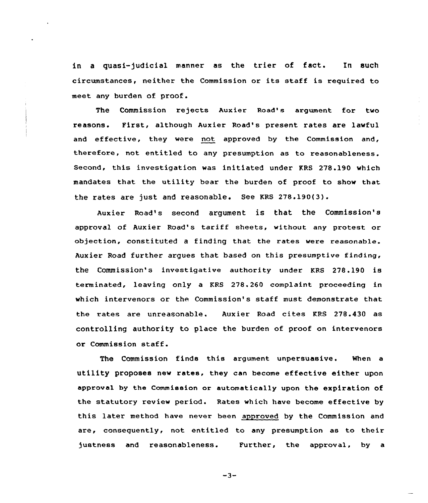in a quasi-judicial manner as the trier of fact. In such circumstances, neither the Commission or its staff is required to meet any burden of proof.

The Commission rejects Auxier Road's argument for two reasons. First, although Auxier Road's present rates are lawful and effective, they were not approved by the Commission and, therefore, not entitled to any presumption as to reasonableness. Second, this investigation was initiated under KRS 278.190 which mandates that the utility beax the burden of proof to show that the xates axe just and reasonable. See KRS 278.190(3).

Auxiex Road's second axgument is that the Commission's approval of Auxier Road's tariff sheets, without any protest or objection, constituted a finding that the rates were reasonable. Auxier Road further argues that based on this presumptive finding, the Commission's investigative authority under KRS 278.190 is terminated, leaving only a KRS 278.260 complaint pxoceeding in which intervenors or the Commission's staff must demonstrate that the rates are unreasonable. Auxier Road cites KRS 278.430 as controlling authority to place the burden of proof on intexvenors or Commission staff.

The Commission finds this argument unpersuasive. When a utility proposes new rates, they can become effective either upon approval by the Commission or automatically upon the expiration Of the statutory review period. Rates which have become effective by this later method have never been approved by the Commission and are, consequently, not entitled to any presumption as to their justness and reasonableness. Further, the approval, by a

 $-3-$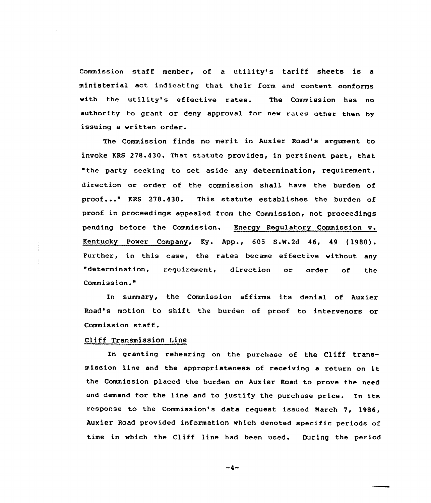Commission staff member, of a utility's tariff sheets is a ministerial act indicating that their form and content conforms with the utility's effective rates. The Commission has no authority to grant or deny approval for new rates other then by issuing a written order.

The Commission finds no merit in Auxier Road's argument to invoke KRS 278.430. That statute provides, in pertinent part, that "the party seeking to set aside any determination, requirement, direction or order of the commission shall have the burden of proof..." KRS 278.430. This statute establishes the burden of proof in proceedings appealed from the Commission, not proceedings pending before the Commission. Energy Regulatory Commission v. Kentucky Power Company, Ky. App., 605 S.W.2d 46, 49 (1980). Further, in this case, the rates became effective without any "determination, requirement, direction or order of the Commission."

In summary, the Commission affirms its denial of Auxier Road's motion to shift the burden of proof to intervenors or Commission staff.

# Cliff Transmission Line

In granting rehearing on the purchase of the Cliff transmission line and the appropriateness of receiving <sup>a</sup> return on it the Commission placed the burden on Auxier Road to prove the need and demand for the line and to justify the purchase price. In its response to the Commission's data request issued March 7, 1986, Auxier Road provided information which denoted specific periods of time in which the Cliff line had been used. During the period

 $-4-$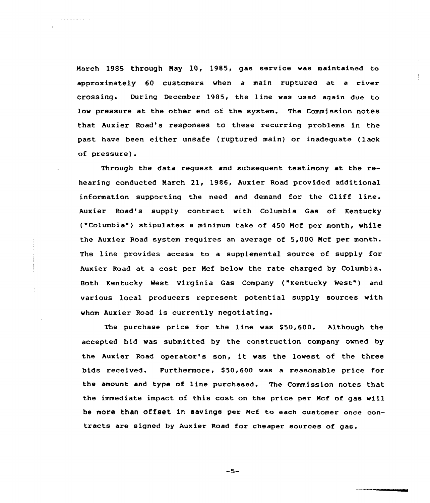March 1985 through Nay 10, 1985, gas service was maintained to approximately 60 customers when a main ruptured at a river crossing. During December 1985, the line was used again due to low pressure at the other end of the system. The Commission notes that Auxier Road's responses to these recurring problems in the past have been either unsafe (ruptured main) or inadequate (lack of pressure).

the second services of

Through the data request and subsequent testimony at the rehearing conducted Narch 21, 1986, Auxier Road provided additional information supporting the need and demand for the Cliff line. Auxier Road's supply contract with Columbia Gas of Kentucky ("Columbia" ) stipulates <sup>a</sup> minimum take of <sup>450</sup> Ncf per month, while the Auxier Road system requires an average of 5,000 Ncf per month. The line provides access to a supplemental source of supply for Auxier Road at a cost per Ncf below the rate charged by Columbia. Both Kentucky West Virginia Gas Company ("Kentucky West") and various local producers represent potential supply sources with whom Auxier Road is currently negotiating.

The purchase price for the line was \$50,600. Although the accepted bid was submitted by the construction company owned by the Auxier Road operator's son, it was the lowest of the three bids received. Furthermore, \$50,600 was a reasonable price for the amount and type of line purchased. The Commission notes that the immediate impact of this cost on the price per Ncf of gas will be more than offset in savings per Mcf to each customer once contracts are signed by Auxier Road for cheaper sources of gas.

 $-5-$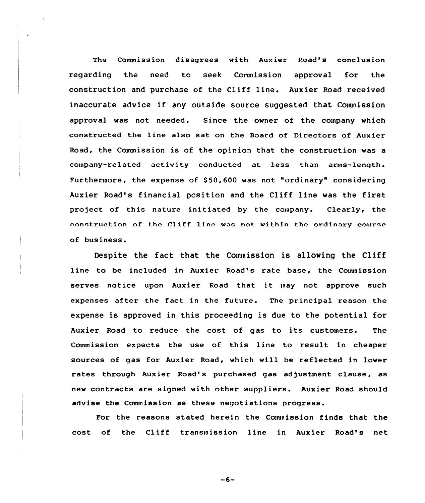The Commission disagrees with Auxier Road's conclusion regarding the need to seek Commission approval for the construction and purchase of the Cliff line. Auxier Road received inaccurate advice if any outside source suggested that Cownission approval was not needed. Since the owner of the company which constructed the line also sat on the Board of Directors of Auxier Road, the Commission is of the opinion that the construction was a company-related activity conducted at less than arms-length. Furthermore, the expense of 850,600 was not "ordinary" considering Auxier Road's financial position and the Cliff line was the first project of this nature initiated by the company. Clearly, the construction of the Cliff line was not within the ordinary course of business.

Despite the fact that the Cownission is allowing the Cliff line to be included in Auxier Road's rate base, the Commission serves notice upon Auxier Road that it may not approve such expenses after the fact in the future. The principal reason the expense is approved in this proceeding is due to the potential for Auxier Road to reduce the cost of gas to its customers. The Commission expects the use of this line to result in cheaper sources of gas for Auxier Road, which will be reflected in lower rates through Auxier Road's purchased gas adjustment clause, as new contracts are signed with other suppliers. Auxier Road should advise the Commission as these negotiations progress.

For the reasons stated herein the Commission finde that the cost of the Cliff transmission line in Auxier Road's net

 $-6-$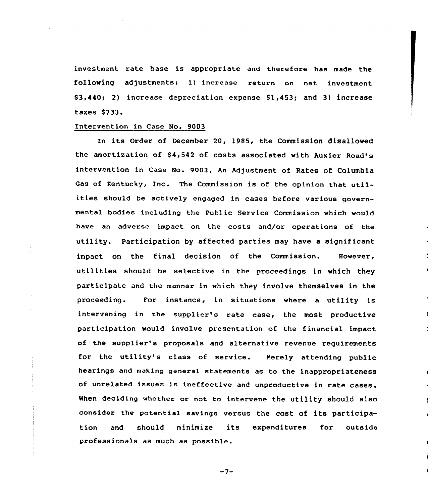investment rate base is appropriate and therefore has made the following adjustments: 1) increase return on net investment \$3,440; 2) increase depreciation expense \$1,453; and 3) increase taxes \$733.

# Intervention in Case No. 9003

In its Order of December 20, 1985, the Commission disallowed the amortization of \$4,542 of costs associated with Auxier Road's intervention in case No. 9003, An Adjustment of Rates of Columbia Gas of Kentucky, Inc. The Commission is of the opinion that utilities should be actively engaged in cases before various governmental bodies including the Public Service Commission which would have an adverse impact on the costs and/or operations of the utility. Participation by affected parties may have <sup>a</sup> significant impact on the final decision of the Commission. However, utilities should be selective in the proceedings in which they participate and the manner in which they involve themselves in the proceeding. For instance, in situations where a utility is intervening in the supplier's rate case, the most productive participation would involve presentation of the financial impact of the supplier's proposals and alternative revenue requirements for the utility's class of service. Nerely attending public hearings and making general statements as to the inappropriateness of unrelated issues is ineffective and unproductive in rate cases. When deciding whether or not to intervene the utility should also consider the potential savings versus the cost of its participation and should minimize its expenditures for outside professionals as much as possible.

 $-7-$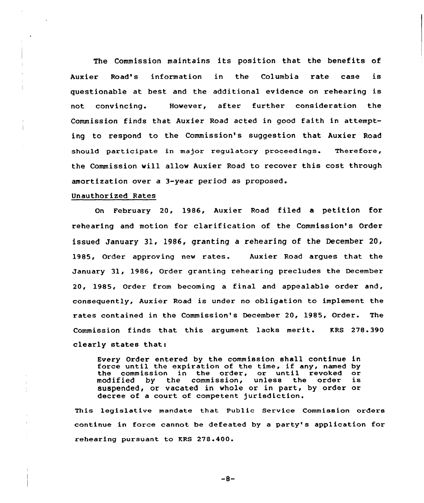The Commission maintains its position that the benefits of Auxier Road's information in the Columbia rate case is questionable at best and the additional evidence on rehearing is not convincing. However, after further consideration the Commission finds that Auxier Road acted in good faith in attempting to respond to the Commission's suggestion that Auxier Road should participate in major regulatory proceedings. Therefore, the Commission vill allow Auxier Road to recover this cost through amortization over a 3-year period as proposed.

#### Unauthorized Rates

On February 20, 1986, Auxier Road filed a petition for rehearing and motion for clarification of the Commission's Order issued January 31, 1986, granting a rehearing of the December 20, 1985, Order approving new rates. Auxier Road argues that the January 31, 1986, Order granting rehearing precludes the December 20, 1985, Order from becoming a final and appealable order and, consequently, Auxier Road is under no obligation to implement the rates contained in the Commission's December 20, 1985, Order. The Commission finds that this argument lacks merit. KRS 278.390 clearly states that:

Every Order entered by the commission shall continue in force until the expiration of the time, if any, named by<br>the commission in the order, or until revoked or the commission in the order, or until revoked or commission, suspended, or vacated in whole or in part, by order or decree of a court of competent jurisdiction.

This legisletive mandate that Public Service Commission orders continue in force cannot be defeated by a party's application for rehearing pursuant to KRS 278.400.

 $-8-$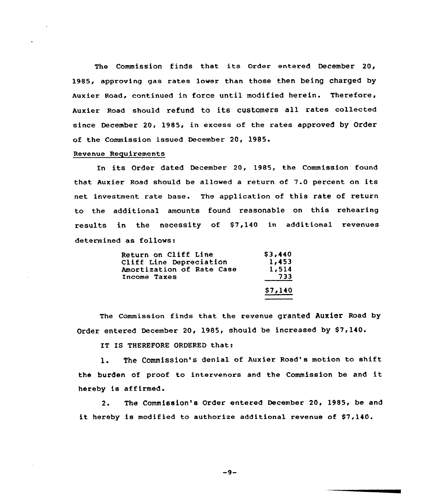The Commission finds that its order entered December 20, 1985, approving gas rates lover than those then being charged by Auxier Road, continued in force until modified herein. Therefore, Auxier Road should refund to its customers all rates collected since December 20, 1985, in excess of the rates approved by Order of the Commission issued December 20, 1985.

# Revenue Requirements

In its Order dated December 20, 1985, the Commission found that Auxier Road should be allowed <sup>a</sup> return of 7.0 percent on its net investment rate base. The application of this rate of return to the additional amounts found reasonable on this rehearing results in the necessity of \$7,140 in additional revenues determined as follows:

| Return on Cliff Line      | \$3,440 |
|---------------------------|---------|
| Cliff Line Depreciation   | 1,453   |
| Amortization of Rate Case | 1,514   |
| Income Taxes              | 733     |
|                           | \$7,140 |

The commission finds that the revenue granted Auxier Road by Order entered December 20, 1985, should be increased by \$7,140.

IT IS THEREFORE ORDERED that:

The Commission's denial of Auxier Road's motion to shift  $\mathbf{1}$ . the burden of proof to intervenors and the Commission be and it hereby is affirmed.

2. The Commission's Order entered December 20, 1985, be and it hereby is modified to authorize additional revenue of \$7,140.

 $-9-$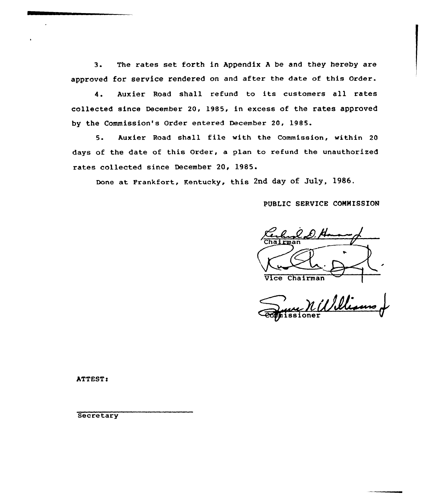3. The rates set forth in Appendix <sup>A</sup> be and they hereby are approved for service rendered on and after the date of this order.

4. Auxier Road shall refund to its customers all rates collected since December 20, 1985, in excess of the rates approved by the Commission's Order entered December 20, 1985.

5. Auxier Road shall file with the Commission, within <sup>20</sup> days of the date of this Order, a plan to refund the unauthorized rates collected since December 20, 1985.

Done at Prankfort, Kentucky, this 2nd day of July, 1986,

PUBLIC SERVICE COMMISSION

<u>irm</u>an Vice Chairman

 $^{\prime}$  . nilllin

ATTEST:

**Secretary**